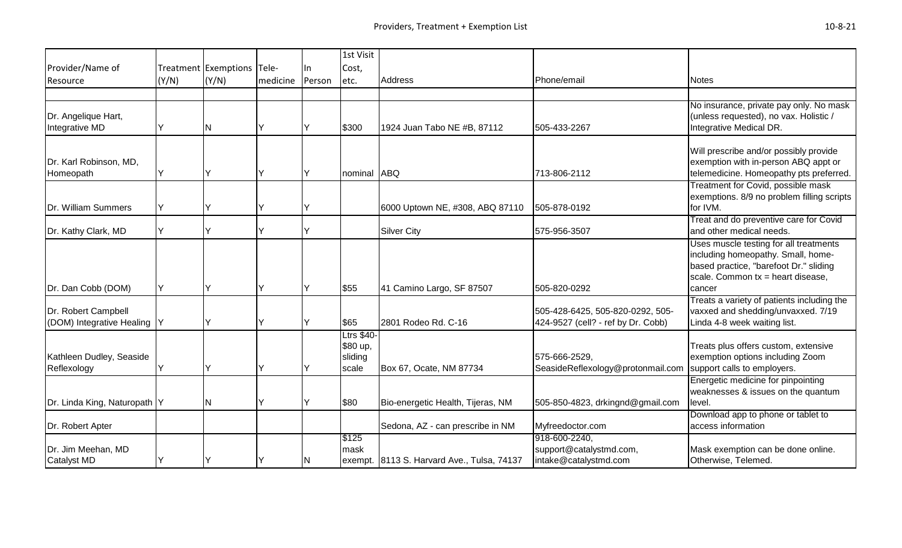|                                                     |       |                            |          |        | 1st Visit                                  |                                            |                                                                        |                                                                                                                                                                         |
|-----------------------------------------------------|-------|----------------------------|----------|--------|--------------------------------------------|--------------------------------------------|------------------------------------------------------------------------|-------------------------------------------------------------------------------------------------------------------------------------------------------------------------|
| Provider/Name of                                    |       | Treatment Exemptions Tele- |          | lln.   | Cost,                                      |                                            |                                                                        |                                                                                                                                                                         |
| Resource                                            | (Y/N) | (Y/N)                      | medicine | Person | etc.                                       | Address                                    | Phone/email                                                            | <b>Notes</b>                                                                                                                                                            |
|                                                     |       |                            |          |        |                                            |                                            |                                                                        |                                                                                                                                                                         |
| Dr. Angelique Hart,<br>Integrative MD               |       | N                          | Y        | lΥ     | \$300                                      | 1924 Juan Tabo NE #B, 87112                | 505-433-2267                                                           | No insurance, private pay only. No mask<br>(unless requested), no vax. Holistic /<br>Integrative Medical DR.                                                            |
| Dr. Karl Robinson, MD,<br>Homeopath                 | IY    |                            | Y        | ΙY     | nominal ABQ                                |                                            | 713-806-2112                                                           | Will prescribe and/or possibly provide<br>exemption with in-person ABQ appt or<br>telemedicine. Homeopathy pts preferred.                                               |
| Dr. William Summers                                 | lΥ    |                            | Y        |        |                                            | 6000 Uptown NE, #308, ABQ 87110            | 505-878-0192                                                           | Treatment for Covid, possible mask<br>exemptions. 8/9 no problem filling scripts<br>for IVM.                                                                            |
| Dr. Kathy Clark, MD                                 | IY.   |                            | Υ        | lY.    |                                            | <b>Silver City</b>                         | 575-956-3507                                                           | Treat and do preventive care for Covid<br>and other medical needs.                                                                                                      |
| Dr. Dan Cobb (DOM)                                  | IY.   |                            | Y        | lΥ     | \$55                                       | 41 Camino Largo, SF 87507                  | 505-820-0292                                                           | Uses muscle testing for all treatments<br>including homeopathy. Small, home-<br>based practice, "barefoot Dr." sliding<br>scale. Common $tx =$ heart disease,<br>cancer |
| Dr. Robert Campbell<br>(DOM) Integrative Healing  Y |       |                            | Y        | Y      | \$65                                       | 2801 Rodeo Rd. C-16                        | 505-428-6425, 505-820-0292, 505-<br>424-9527 (cell? - ref by Dr. Cobb) | Treats a variety of patients including the<br>vaxxed and shedding/unvaxxed. 7/19<br>Linda 4-8 week waiting list.                                                        |
| Kathleen Dudley, Seaside<br>Reflexology             | IY    |                            | Y        | Y      | Ltrs \$40-<br>\$80 up,<br>sliding<br>scale | Box 67, Ocate, NM 87734                    | 575-666-2529,<br>SeasideReflexology@protonmail.com                     | Treats plus offers custom, extensive<br>exemption options including Zoom<br>support calls to employers.                                                                 |
| Dr. Linda King, Naturopath  Y                       |       | IN.                        | Y        |        | \$80                                       | Bio-energetic Health, Tijeras, NM          | 505-850-4823, drkingnd@gmail.com                                       | Energetic medicine for pinpointing<br>weaknesses & issues on the quantum<br>level.                                                                                      |
| Dr. Robert Apter                                    |       |                            |          |        |                                            | Sedona, AZ - can prescribe in NM           | Myfreedoctor.com                                                       | Download app to phone or tablet to<br>access information                                                                                                                |
| Dr. Jim Meehan, MD<br><b>Catalyst MD</b>            | IY    |                            | Y        | N      | \$125<br>mask                              | exempt. 8113 S. Harvard Ave., Tulsa, 74137 | 918-600-2240,<br>support@catalystmd.com,<br>intake@catalystmd.com      | Mask exemption can be done online.<br>Otherwise, Telemed.                                                                                                               |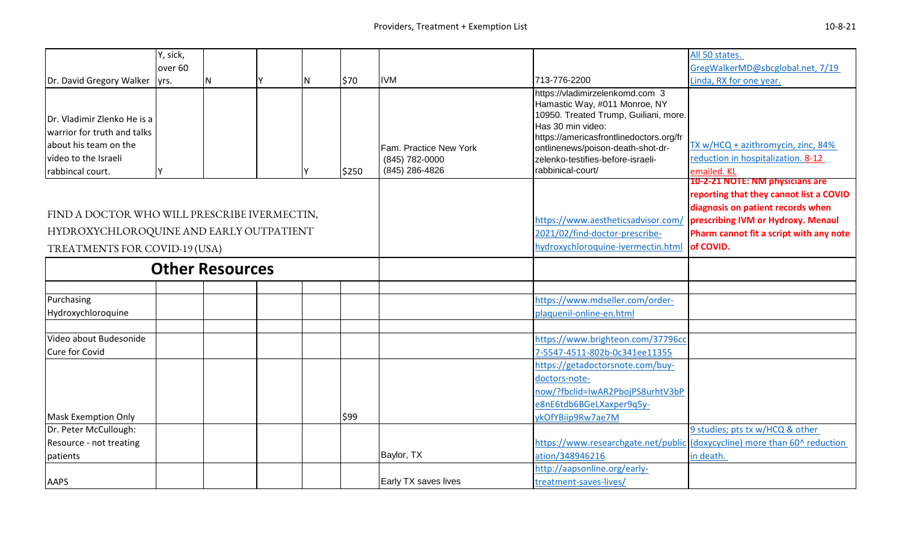|                                              | Y, sick,           |                        |     |       |                        |                                                                        | All 50 states.                                                            |
|----------------------------------------------|--------------------|------------------------|-----|-------|------------------------|------------------------------------------------------------------------|---------------------------------------------------------------------------|
|                                              | over <sub>60</sub> |                        |     |       | <b>IVM</b>             | 713-776-2200                                                           | GregWalkerMD@sbcglobal.net, 7/19<br>Linda, RX for one year.               |
| Dr. David Gregory Walker                     | lyrs.              | N                      | IN. | \$70  |                        | https://vladimirzelenkomd.com 3                                        |                                                                           |
|                                              |                    |                        |     |       |                        | Hamastic Way, #011 Monroe, NY                                          |                                                                           |
| Dr. Vladimir Zlenko He is a                  |                    |                        |     |       |                        | 10950. Treated Trump, Guiliani, more.                                  |                                                                           |
| warrior for truth and talks                  |                    |                        |     |       |                        | Has 30 min video:                                                      |                                                                           |
| about his team on the                        |                    |                        |     |       | Fam. Practice New York | https://americasfrontlinedoctors.org/fr                                | TX w/HCQ + azithromycin, zinc, 84%                                        |
| video to the Israeli                         |                    |                        |     |       | (845) 782-0000         | ontlinenews/poison-death-shot-dr-<br>zelenko-testifies-before-israeli- | reduction in hospitalization. 8-12                                        |
| rabbincal court.                             | <b>V</b>           |                        |     | \$250 | (845) 286-4826         | rabbinical-court/                                                      | emailed. KL                                                               |
|                                              |                    |                        |     |       |                        |                                                                        | 10-2-21 NOTE: NM physicians are                                           |
|                                              |                    |                        |     |       |                        |                                                                        | reporting that they cannot list a COVID                                   |
| FIND A DOCTOR WHO WILL PRESCRIBE IVERMECTIN, |                    |                        |     |       |                        |                                                                        | diagnosis on patient records when                                         |
|                                              |                    |                        |     |       |                        | https://www.aestheticsadvisor.com/                                     | prescribing IVM or Hydroxy. Menaul                                        |
| HYDROXYCHLOROQUINE AND EARLY OUTPATIENT      |                    |                        |     |       |                        | 2021/02/find-doctor-prescribe-                                         | Pharm cannot fit a script with any note                                   |
| TREATMENTS FOR COVID-19 (USA)                |                    |                        |     |       |                        | hydroxychloroquine-ivermectin.html of COVID.                           |                                                                           |
|                                              |                    | <b>Other Resources</b> |     |       |                        |                                                                        |                                                                           |
|                                              |                    |                        |     |       |                        |                                                                        |                                                                           |
| Purchasing                                   |                    |                        |     |       |                        | https://www.mdseller.com/order-                                        |                                                                           |
| Hydroxychloroquine                           |                    |                        |     |       |                        | plaquenil-online-en.html                                               |                                                                           |
| Video about Budesonide                       |                    |                        |     |       |                        | https://www.brighteon.com/37796cc                                      |                                                                           |
| Cure for Covid                               |                    |                        |     |       |                        | 7-5547-4511-802b-0c341ee11355                                          |                                                                           |
|                                              |                    |                        |     |       |                        | https://getadoctorsnote.com/buy-                                       |                                                                           |
|                                              |                    |                        |     |       |                        | doctors-note-                                                          |                                                                           |
|                                              |                    |                        |     |       |                        | now/?fbclid=IwAR2PbojPS8urhtV3bP                                       |                                                                           |
|                                              |                    |                        |     |       |                        | e8nE6tdb6BGeLXaxper9q5y-                                               |                                                                           |
| <b>Mask Exemption Only</b>                   |                    |                        |     | \$99  |                        | ykOfYBiip9Rw7ae7M                                                      |                                                                           |
| Dr. Peter McCullough:                        |                    |                        |     |       |                        |                                                                        | 9 studies; pts tx w/HCQ & other                                           |
| Resource - not treating                      |                    |                        |     |       |                        |                                                                        | https://www.researchgate.net/public (doxycycline) more than 60^ reduction |
| patients                                     |                    |                        |     |       | Baylor, TX             | ation/348946216                                                        | in death.                                                                 |
|                                              |                    |                        |     |       |                        | http://aapsonline.org/early-                                           |                                                                           |
| <b>AAPS</b>                                  |                    |                        |     |       | Early TX saves lives   | treatment-saves-lives/                                                 |                                                                           |